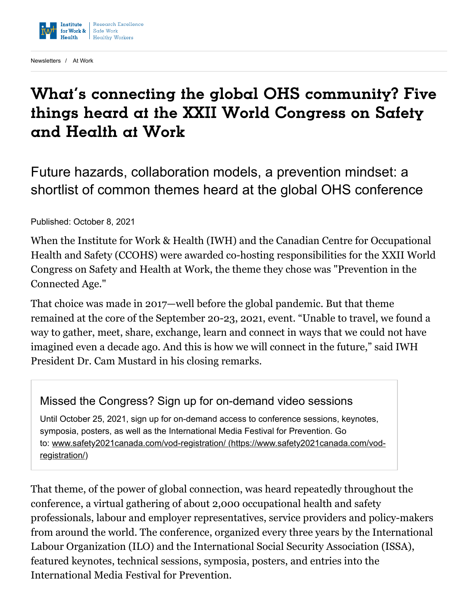

[Newsletters](https://www.iwh.on.ca/newsletters) / [At Work](https://www.iwh.on.ca/newsletters/at-work)

# What's connecting the global OHS community? Five things heard at the XXII World Congress on Safety and Health at Work

Future hazards, collaboration models, a prevention mindset: a shortlist of common themes heard at the global OHS conference

Published: October 8, 2021

When the Institute for Work & Health (IWH) and the Canadian Centre for Occupational Health and Safety (CCOHS) were awarded co-hosting responsibilities for the XXII World Congress on Safety and Health at Work, the theme they chose was "Prevention in the Connected Age."

That choice was made in 2017—well before the global pandemic. But that theme remained at the core of the September 20-23, 2021, event. "Unable to travel, we found a way to gather, meet, share, exchange, learn and connect in ways that we could not have imagined even a decade ago. And this is how we will connect in the future," said IWH President Dr. Cam Mustard in his closing remarks.

#### Missed the Congress? Sign up for on-demand video sessions

Until October 25, 2021, sign up for on-demand access to conference sessions, keynotes, symposia, posters, as well as the International Media Festival for Prevention. Go to: [www.safety2021canada.com/vod-registration/ \(https://www.safety2021canada.com/vod](https://www.safety2021canada.com/vod-registration/)registration/)

That theme, of the power of global connection, was heard repeatedly throughout the conference, a virtual gathering of about 2,000 occupational health and safety professionals, labour and employer representatives, service providers and policy-makers from around the world. The conference, organized every three years by the International Labour Organization (ILO) and the International Social Security Association (ISSA), featured keynotes, technical sessions, symposia, posters, and entries into the International Media Festival for Prevention.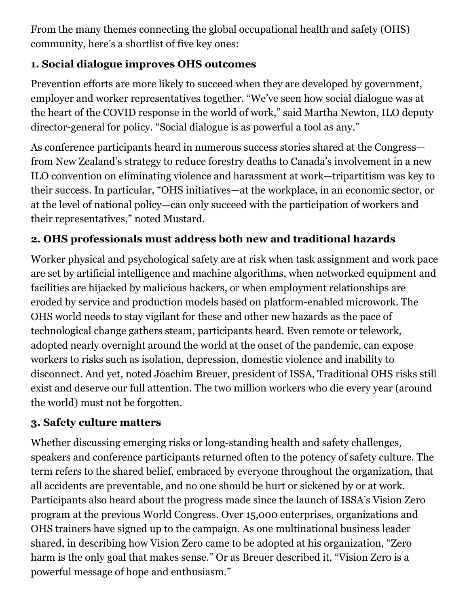From the many themes connecting the global occupational health and safety (OHS) community, here's a shortlist of five key ones:

### **1. Social dialogue improves OHS outcomes**

Prevention efforts are more likely to succeed when they are developed by government, employer and worker representatives together. "We've seen how social dialogue was at the heart of the COVID response in the world of work," said Martha Newton, ILO deputy director-general for policy. "Social dialogue is as powerful a tool as any."

As conference participants heard in numerous success stories shared at the Congress from New Zealand's strategy to reduce forestry deaths to Canada's involvement in a new ILO convention on eliminating violence and harassment at work—tripartitism was key to their success. In particular, "OHS initiatives—at the workplace, in an economic sector, or at the level of national policy—can only succeed with the participation of workers and their representatives," noted Mustard.

## **2. OHS professionals must address both new and traditional hazards**

Worker physical and psychological safety are at risk when task assignment and work pace are set by artificial intelligence and machine algorithms, when networked equipment and facilities are hijacked by malicious hackers, or when employment relationships are eroded by service and production models based on platform-enabled microwork. The OHS world needs to stay vigilant for these and other new hazards as the pace of technological change gathers steam, participants heard. Even remote or telework, adopted nearly overnight around the world at the onset of the pandemic, can expose workers to risks such as isolation, depression, domestic violence and inability to disconnect. And yet, noted Joachim Breuer, president of ISSA, Traditional OHS risks still exist and deserve our full attention. The two million workers who die every year (around the world) must not be forgotten.

### **3. Safety culture matters**

Whether discussing emerging risks or long-standing health and safety challenges, speakers and conference participants returned often to the potency of safety culture. The term refers to the shared belief, embraced by everyone throughout the organization, that all accidents are preventable, and no one should be hurt or sickened by or at work. Participants also heard about the progress made since the launch of ISSA's Vision Zero program at the previous World Congress. Over 15,000 enterprises, organizations and OHS trainers have signed up to the campaign. As one multinational business leader shared, in describing how Vision Zero came to be adopted at his organization, "Zero harm is the only goal that makes sense." Or as Breuer described it, "Vision Zero is a powerful message of hope and enthusiasm."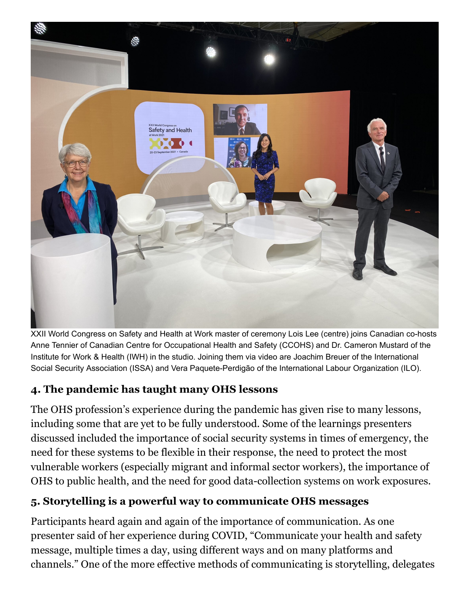

XXII World Congress on Safety and Health at Work master of ceremony Lois Lee (centre) joins Canadian co-hosts Anne Tennier of Canadian Centre for Occupational Health and Safety (CCOHS) and Dr. Cameron Mustard of the Institute for Work & Health (IWH) in the studio. Joining them via video are Joachim Breuer of the International Social Security Association (ISSA) and Vera Paquete-Perdigão of the International Labour Organization (ILO).

### **4. The pandemic has taught many OHS lessons**

The OHS profession's experience during the pandemic has given rise to many lessons, including some that are yet to be fully understood. Some of the learnings presenters discussed included the importance of social security systems in times of emergency, the need for these systems to be flexible in their response, the need to protect the most vulnerable workers (especially migrant and informal sector workers), the importance of OHS to public health, and the need for good data-collection systems on work exposures.

## **5. Storytelling is a powerful way to communicate OHS messages**

Participants heard again and again of the importance of communication. As one presenter said of her experience during COVID, "Communicate your health and safety message, multiple times a day, using different ways and on many platforms and channels." One of the more effective methods of communicating is storytelling, delegates